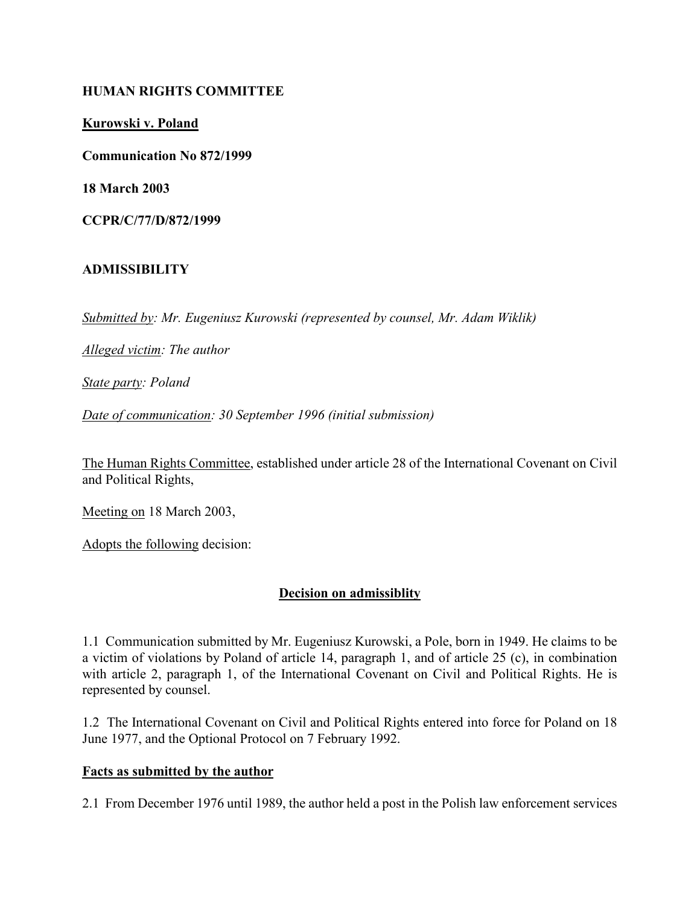### HUMAN RIGHTS COMMITTEE

Kurowski v. Poland

Communication No 872/1999

18 March 2003

CCPR/C/77/D/872/1999

### ADMISSIBILITY

Submitted by: Mr. Eugeniusz Kurowski (represented by counsel, Mr. Adam Wiklik)

Alleged victim: The author

State party: Poland

Date of communication: 30 September 1996 (initial submission)

The Human Rights Committee, established under article 28 of the International Covenant on Civil and Political Rights,

Meeting on 18 March 2003,

Adopts the following decision:

### Decision on admissiblity

1.1 Communication submitted by Mr. Eugeniusz Kurowski, a Pole, born in 1949. He claims to be a victim of violations by Poland of article 14, paragraph 1, and of article 25 (c), in combination with article 2, paragraph 1, of the International Covenant on Civil and Political Rights. He is represented by counsel.

1.2 The International Covenant on Civil and Political Rights entered into force for Poland on 18 June 1977, and the Optional Protocol on 7 February 1992.

#### Facts as submitted by the author

2.1 From December 1976 until 1989, the author held a post in the Polish law enforcement services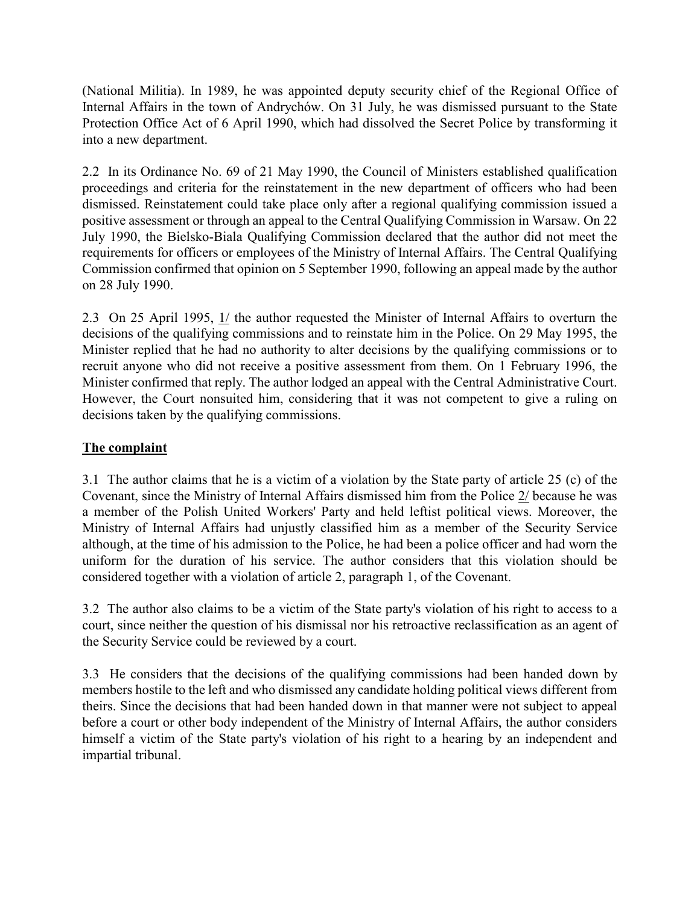(National Militia). In 1989, he was appointed deputy security chief of the Regional Office of Internal Affairs in the town of Andrychów. On 31 July, he was dismissed pursuant to the State Protection Office Act of 6 April 1990, which had dissolved the Secret Police by transforming it into a new department.

2.2 In its Ordinance No. 69 of 21 May 1990, the Council of Ministers established qualification proceedings and criteria for the reinstatement in the new department of officers who had been dismissed. Reinstatement could take place only after a regional qualifying commission issued a positive assessment or through an appeal to the Central Qualifying Commission in Warsaw. On 22 July 1990, the Bielsko-Biala Qualifying Commission declared that the author did not meet the requirements for officers or employees of the Ministry of Internal Affairs. The Central Qualifying Commission confirmed that opinion on 5 September 1990, following an appeal made by the author on 28 July 1990.

2.3 On 25 April 1995, 1/ the author requested the Minister of Internal Affairs to overturn the decisions of the qualifying commissions and to reinstate him in the Police. On 29 May 1995, the Minister replied that he had no authority to alter decisions by the qualifying commissions or to recruit anyone who did not receive a positive assessment from them. On 1 February 1996, the Minister confirmed that reply. The author lodged an appeal with the Central Administrative Court. However, the Court nonsuited him, considering that it was not competent to give a ruling on decisions taken by the qualifying commissions.

# The complaint

3.1 The author claims that he is a victim of a violation by the State party of article 25 (c) of the Covenant, since the Ministry of Internal Affairs dismissed him from the Police 2/ because he was a member of the Polish United Workers' Party and held leftist political views. Moreover, the Ministry of Internal Affairs had unjustly classified him as a member of the Security Service although, at the time of his admission to the Police, he had been a police officer and had worn the uniform for the duration of his service. The author considers that this violation should be considered together with a violation of article 2, paragraph 1, of the Covenant.

3.2 The author also claims to be a victim of the State party's violation of his right to access to a court, since neither the question of his dismissal nor his retroactive reclassification as an agent of the Security Service could be reviewed by a court.

3.3 He considers that the decisions of the qualifying commissions had been handed down by members hostile to the left and who dismissed any candidate holding political views different from theirs. Since the decisions that had been handed down in that manner were not subject to appeal before a court or other body independent of the Ministry of Internal Affairs, the author considers himself a victim of the State party's violation of his right to a hearing by an independent and impartial tribunal.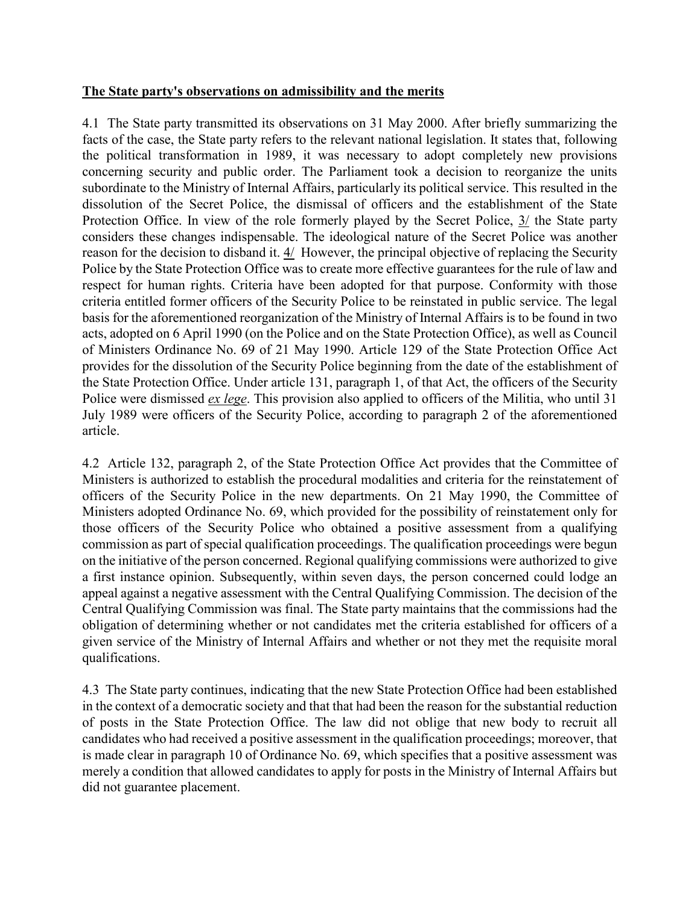### The State party's observations on admissibility and the merits

4.1 The State party transmitted its observations on 31 May 2000. After briefly summarizing the facts of the case, the State party refers to the relevant national legislation. It states that, following the political transformation in 1989, it was necessary to adopt completely new provisions concerning security and public order. The Parliament took a decision to reorganize the units subordinate to the Ministry of Internal Affairs, particularly its political service. This resulted in the dissolution of the Secret Police, the dismissal of officers and the establishment of the State Protection Office. In view of the role formerly played by the Secret Police,  $3/$  the State party considers these changes indispensable. The ideological nature of the Secret Police was another reason for the decision to disband it. 4/ However, the principal objective of replacing the Security Police by the State Protection Office was to create more effective guarantees for the rule of law and respect for human rights. Criteria have been adopted for that purpose. Conformity with those criteria entitled former officers of the Security Police to be reinstated in public service. The legal basis for the aforementioned reorganization of the Ministry of Internal Affairs is to be found in two acts, adopted on 6 April 1990 (on the Police and on the State Protection Office), as well as Council of Ministers Ordinance No. 69 of 21 May 1990. Article 129 of the State Protection Office Act provides for the dissolution of the Security Police beginning from the date of the establishment of the State Protection Office. Under article 131, paragraph 1, of that Act, the officers of the Security Police were dismissed *ex lege*. This provision also applied to officers of the Militia, who until 31 July 1989 were officers of the Security Police, according to paragraph 2 of the aforementioned article.

4.2 Article 132, paragraph 2, of the State Protection Office Act provides that the Committee of Ministers is authorized to establish the procedural modalities and criteria for the reinstatement of officers of the Security Police in the new departments. On 21 May 1990, the Committee of Ministers adopted Ordinance No. 69, which provided for the possibility of reinstatement only for those officers of the Security Police who obtained a positive assessment from a qualifying commission as part of special qualification proceedings. The qualification proceedings were begun on the initiative of the person concerned. Regional qualifying commissions were authorized to give a first instance opinion. Subsequently, within seven days, the person concerned could lodge an appeal against a negative assessment with the Central Qualifying Commission. The decision of the Central Qualifying Commission was final. The State party maintains that the commissions had the obligation of determining whether or not candidates met the criteria established for officers of a given service of the Ministry of Internal Affairs and whether or not they met the requisite moral qualifications.

4.3 The State party continues, indicating that the new State Protection Office had been established in the context of a democratic society and that that had been the reason for the substantial reduction of posts in the State Protection Office. The law did not oblige that new body to recruit all candidates who had received a positive assessment in the qualification proceedings; moreover, that is made clear in paragraph 10 of Ordinance No. 69, which specifies that a positive assessment was merely a condition that allowed candidates to apply for posts in the Ministry of Internal Affairs but did not guarantee placement.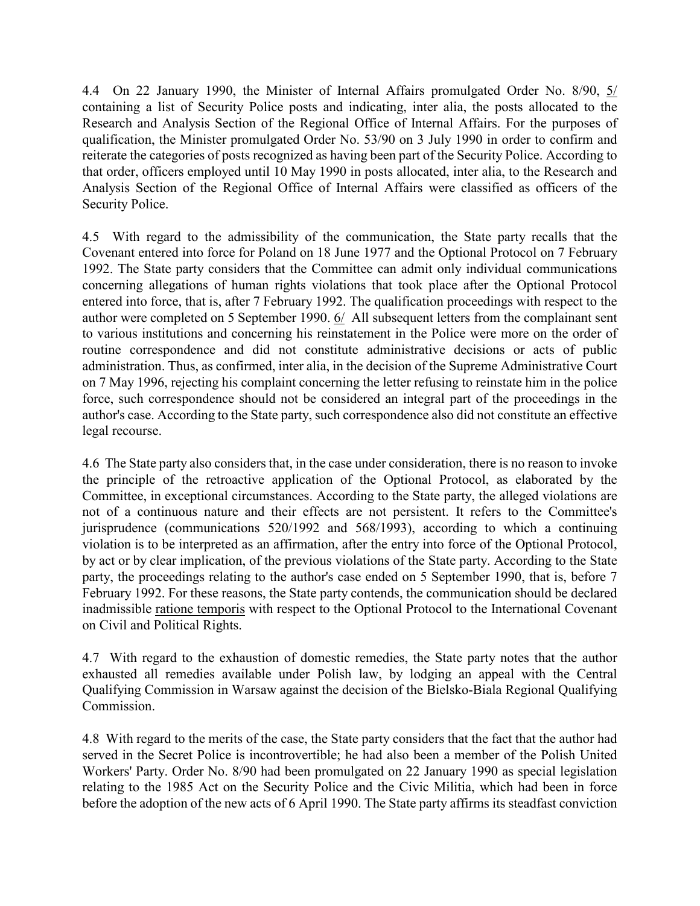4.4 On 22 January 1990, the Minister of Internal Affairs promulgated Order No. 8/90, 5/ containing a list of Security Police posts and indicating, inter alia, the posts allocated to the Research and Analysis Section of the Regional Office of Internal Affairs. For the purposes of qualification, the Minister promulgated Order No. 53/90 on 3 July 1990 in order to confirm and reiterate the categories of posts recognized as having been part of the Security Police. According to that order, officers employed until 10 May 1990 in posts allocated, inter alia, to the Research and Analysis Section of the Regional Office of Internal Affairs were classified as officers of the Security Police.

4.5 With regard to the admissibility of the communication, the State party recalls that the Covenant entered into force for Poland on 18 June 1977 and the Optional Protocol on 7 February 1992. The State party considers that the Committee can admit only individual communications concerning allegations of human rights violations that took place after the Optional Protocol entered into force, that is, after 7 February 1992. The qualification proceedings with respect to the author were completed on 5 September 1990. 6/ All subsequent letters from the complainant sent to various institutions and concerning his reinstatement in the Police were more on the order of routine correspondence and did not constitute administrative decisions or acts of public administration. Thus, as confirmed, inter alia, in the decision of the Supreme Administrative Court on 7 May 1996, rejecting his complaint concerning the letter refusing to reinstate him in the police force, such correspondence should not be considered an integral part of the proceedings in the author's case. According to the State party, such correspondence also did not constitute an effective legal recourse.

4.6 The State party also considers that, in the case under consideration, there is no reason to invoke the principle of the retroactive application of the Optional Protocol, as elaborated by the Committee, in exceptional circumstances. According to the State party, the alleged violations are not of a continuous nature and their effects are not persistent. It refers to the Committee's jurisprudence (communications 520/1992 and 568/1993), according to which a continuing violation is to be interpreted as an affirmation, after the entry into force of the Optional Protocol, by act or by clear implication, of the previous violations of the State party. According to the State party, the proceedings relating to the author's case ended on 5 September 1990, that is, before 7 February 1992. For these reasons, the State party contends, the communication should be declared inadmissible ratione temporis with respect to the Optional Protocol to the International Covenant on Civil and Political Rights.

4.7 With regard to the exhaustion of domestic remedies, the State party notes that the author exhausted all remedies available under Polish law, by lodging an appeal with the Central Qualifying Commission in Warsaw against the decision of the Bielsko-Biala Regional Qualifying Commission.

4.8 With regard to the merits of the case, the State party considers that the fact that the author had served in the Secret Police is incontrovertible; he had also been a member of the Polish United Workers' Party. Order No. 8/90 had been promulgated on 22 January 1990 as special legislation relating to the 1985 Act on the Security Police and the Civic Militia, which had been in force before the adoption of the new acts of 6 April 1990. The State party affirms its steadfast conviction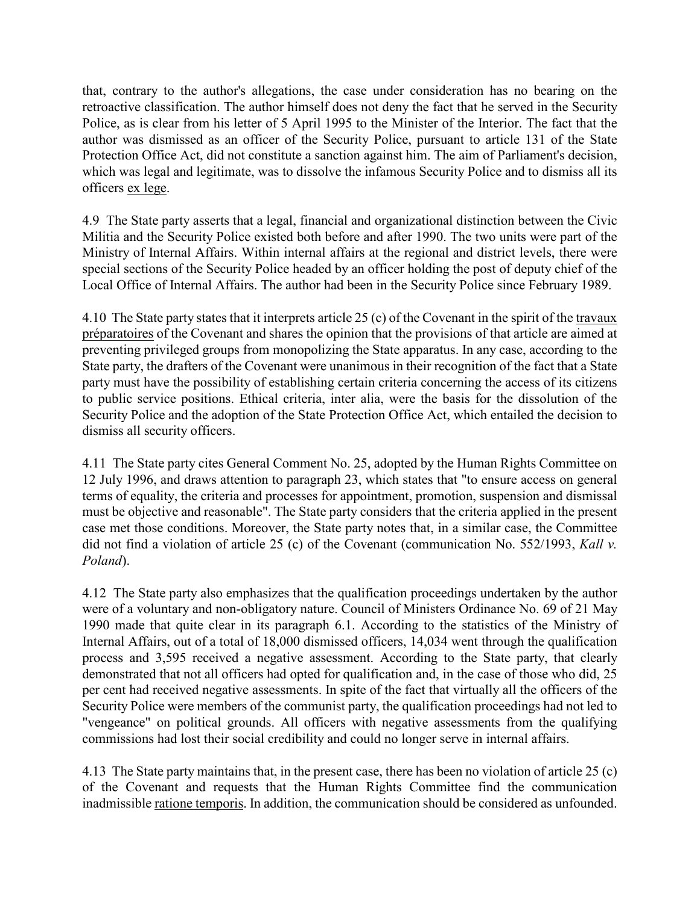that, contrary to the author's allegations, the case under consideration has no bearing on the retroactive classification. The author himself does not deny the fact that he served in the Security Police, as is clear from his letter of 5 April 1995 to the Minister of the Interior. The fact that the author was dismissed as an officer of the Security Police, pursuant to article 131 of the State Protection Office Act, did not constitute a sanction against him. The aim of Parliament's decision, which was legal and legitimate, was to dissolve the infamous Security Police and to dismiss all its officers ex lege.

4.9 The State party asserts that a legal, financial and organizational distinction between the Civic Militia and the Security Police existed both before and after 1990. The two units were part of the Ministry of Internal Affairs. Within internal affairs at the regional and district levels, there were special sections of the Security Police headed by an officer holding the post of deputy chief of the Local Office of Internal Affairs. The author had been in the Security Police since February 1989.

4.10 The State party states that it interprets article 25 (c) of the Covenant in the spirit of the travaux préparatoires of the Covenant and shares the opinion that the provisions of that article are aimed at preventing privileged groups from monopolizing the State apparatus. In any case, according to the State party, the drafters of the Covenant were unanimous in their recognition of the fact that a State party must have the possibility of establishing certain criteria concerning the access of its citizens to public service positions. Ethical criteria, inter alia, were the basis for the dissolution of the Security Police and the adoption of the State Protection Office Act, which entailed the decision to dismiss all security officers.

4.11 The State party cites General Comment No. 25, adopted by the Human Rights Committee on 12 July 1996, and draws attention to paragraph 23, which states that "to ensure access on general terms of equality, the criteria and processes for appointment, promotion, suspension and dismissal must be objective and reasonable". The State party considers that the criteria applied in the present case met those conditions. Moreover, the State party notes that, in a similar case, the Committee did not find a violation of article 25 (c) of the Covenant (communication No. 552/1993, Kall v. Poland).

4.12 The State party also emphasizes that the qualification proceedings undertaken by the author were of a voluntary and non-obligatory nature. Council of Ministers Ordinance No. 69 of 21 May 1990 made that quite clear in its paragraph 6.1. According to the statistics of the Ministry of Internal Affairs, out of a total of 18,000 dismissed officers, 14,034 went through the qualification process and 3,595 received a negative assessment. According to the State party, that clearly demonstrated that not all officers had opted for qualification and, in the case of those who did, 25 per cent had received negative assessments. In spite of the fact that virtually all the officers of the Security Police were members of the communist party, the qualification proceedings had not led to "vengeance" on political grounds. All officers with negative assessments from the qualifying commissions had lost their social credibility and could no longer serve in internal affairs.

4.13 The State party maintains that, in the present case, there has been no violation of article 25 (c) of the Covenant and requests that the Human Rights Committee find the communication inadmissible ratione temporis. In addition, the communication should be considered as unfounded.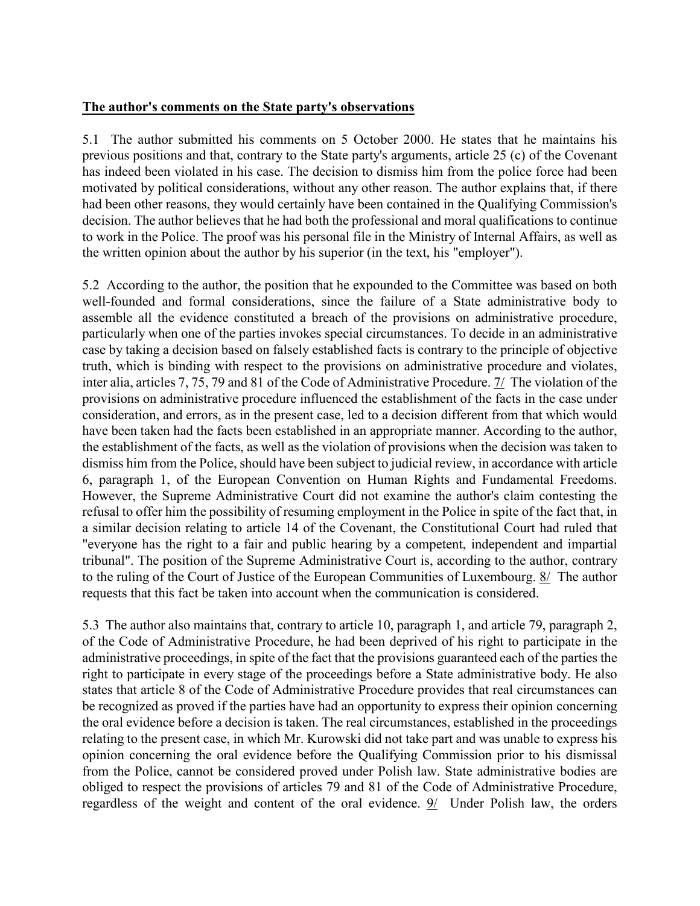### The author's comments on the State party's observations

5.1 The author submitted his comments on 5 October 2000. He states that he maintains his previous positions and that, contrary to the State party's arguments, article 25 (c) of the Covenant has indeed been violated in his case. The decision to dismiss him from the police force had been motivated by political considerations, without any other reason. The author explains that, if there had been other reasons, they would certainly have been contained in the Qualifying Commission's decision. The author believes that he had both the professional and moral qualifications to continue to work in the Police. The proof was his personal file in the Ministry of Internal Affairs, as well as the written opinion about the author by his superior (in the text, his "employer").

5.2 According to the author, the position that he expounded to the Committee was based on both well-founded and formal considerations, since the failure of a State administrative body to assemble all the evidence constituted a breach of the provisions on administrative procedure, particularly when one of the parties invokes special circumstances. To decide in an administrative case by taking a decision based on falsely established facts is contrary to the principle of objective truth, which is binding with respect to the provisions on administrative procedure and violates, inter alia, articles 7, 75, 79 and 81 of the Code of Administrative Procedure. 7/ The violation of the provisions on administrative procedure influenced the establishment of the facts in the case under consideration, and errors, as in the present case, led to a decision different from that which would have been taken had the facts been established in an appropriate manner. According to the author, the establishment of the facts, as well as the violation of provisions when the decision was taken to dismiss him from the Police, should have been subject to judicial review, in accordance with article 6, paragraph 1, of the European Convention on Human Rights and Fundamental Freedoms. However, the Supreme Administrative Court did not examine the author's claim contesting the refusal to offer him the possibility of resuming employment in the Police in spite of the fact that, in a similar decision relating to article 14 of the Covenant, the Constitutional Court had ruled that "everyone has the right to a fair and public hearing by a competent, independent and impartial tribunal". The position of the Supreme Administrative Court is, according to the author, contrary to the ruling of the Court of Justice of the European Communities of Luxembourg. 8/ The author requests that this fact be taken into account when the communication is considered.

5.3 The author also maintains that, contrary to article 10, paragraph 1, and article 79, paragraph 2, of the Code of Administrative Procedure, he had been deprived of his right to participate in the administrative proceedings, in spite of the fact that the provisions guaranteed each of the parties the right to participate in every stage of the proceedings before a State administrative body. He also states that article 8 of the Code of Administrative Procedure provides that real circumstances can be recognized as proved if the parties have had an opportunity to express their opinion concerning the oral evidence before a decision is taken. The real circumstances, established in the proceedings relating to the present case, in which Mr. Kurowski did not take part and was unable to express his opinion concerning the oral evidence before the Qualifying Commission prior to his dismissal from the Police, cannot be considered proved under Polish law. State administrative bodies are obliged to respect the provisions of articles 79 and 81 of the Code of Administrative Procedure, regardless of the weight and content of the oral evidence. 9/ Under Polish law, the orders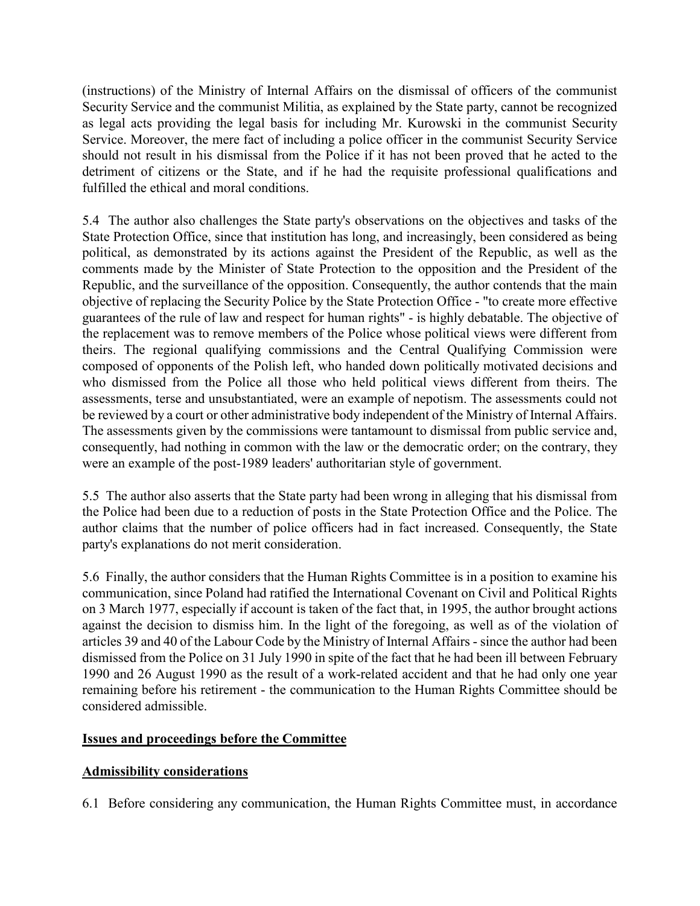(instructions) of the Ministry of Internal Affairs on the dismissal of officers of the communist Security Service and the communist Militia, as explained by the State party, cannot be recognized as legal acts providing the legal basis for including Mr. Kurowski in the communist Security Service. Moreover, the mere fact of including a police officer in the communist Security Service should not result in his dismissal from the Police if it has not been proved that he acted to the detriment of citizens or the State, and if he had the requisite professional qualifications and fulfilled the ethical and moral conditions.

5.4 The author also challenges the State party's observations on the objectives and tasks of the State Protection Office, since that institution has long, and increasingly, been considered as being political, as demonstrated by its actions against the President of the Republic, as well as the comments made by the Minister of State Protection to the opposition and the President of the Republic, and the surveillance of the opposition. Consequently, the author contends that the main objective of replacing the Security Police by the State Protection Office - "to create more effective guarantees of the rule of law and respect for human rights" - is highly debatable. The objective of the replacement was to remove members of the Police whose political views were different from theirs. The regional qualifying commissions and the Central Qualifying Commission were composed of opponents of the Polish left, who handed down politically motivated decisions and who dismissed from the Police all those who held political views different from theirs. The assessments, terse and unsubstantiated, were an example of nepotism. The assessments could not be reviewed by a court or other administrative body independent of the Ministry of Internal Affairs. The assessments given by the commissions were tantamount to dismissal from public service and, consequently, had nothing in common with the law or the democratic order; on the contrary, they were an example of the post-1989 leaders' authoritarian style of government.

5.5 The author also asserts that the State party had been wrong in alleging that his dismissal from the Police had been due to a reduction of posts in the State Protection Office and the Police. The author claims that the number of police officers had in fact increased. Consequently, the State party's explanations do not merit consideration.

5.6 Finally, the author considers that the Human Rights Committee is in a position to examine his communication, since Poland had ratified the International Covenant on Civil and Political Rights on 3 March 1977, especially if account is taken of the fact that, in 1995, the author brought actions against the decision to dismiss him. In the light of the foregoing, as well as of the violation of articles 39 and 40 of the Labour Code by the Ministry of Internal Affairs - since the author had been dismissed from the Police on 31 July 1990 in spite of the fact that he had been ill between February 1990 and 26 August 1990 as the result of a work-related accident and that he had only one year remaining before his retirement - the communication to the Human Rights Committee should be considered admissible.

# Issues and proceedings before the Committee

# Admissibility considerations

6.1 Before considering any communication, the Human Rights Committee must, in accordance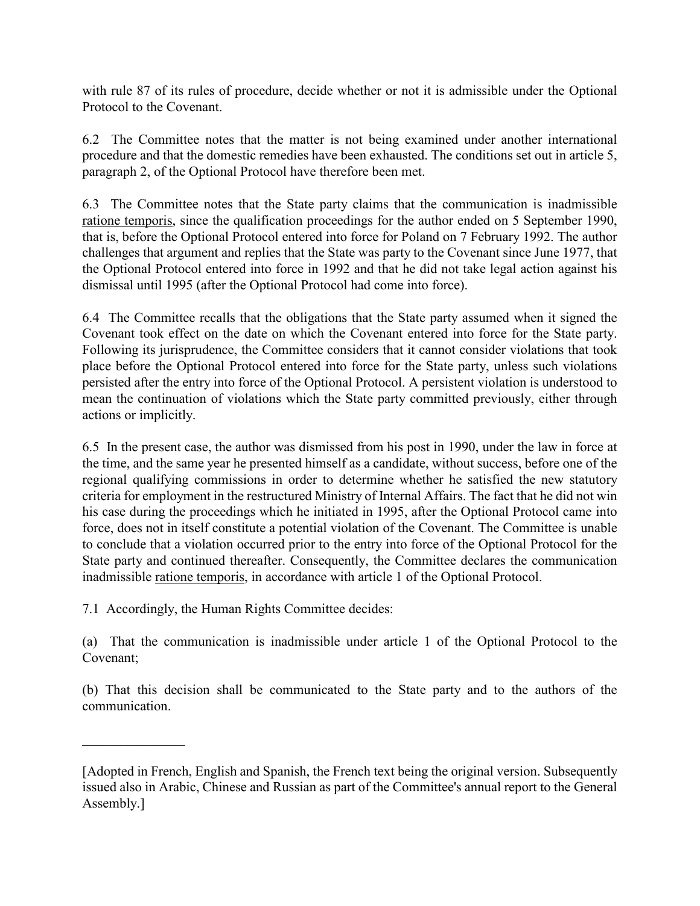with rule 87 of its rules of procedure, decide whether or not it is admissible under the Optional Protocol to the Covenant.

6.2 The Committee notes that the matter is not being examined under another international procedure and that the domestic remedies have been exhausted. The conditions set out in article 5, paragraph 2, of the Optional Protocol have therefore been met.

6.3 The Committee notes that the State party claims that the communication is inadmissible ratione temporis, since the qualification proceedings for the author ended on 5 September 1990, that is, before the Optional Protocol entered into force for Poland on 7 February 1992. The author challenges that argument and replies that the State was party to the Covenant since June 1977, that the Optional Protocol entered into force in 1992 and that he did not take legal action against his dismissal until 1995 (after the Optional Protocol had come into force).

6.4 The Committee recalls that the obligations that the State party assumed when it signed the Covenant took effect on the date on which the Covenant entered into force for the State party. Following its jurisprudence, the Committee considers that it cannot consider violations that took place before the Optional Protocol entered into force for the State party, unless such violations persisted after the entry into force of the Optional Protocol. A persistent violation is understood to mean the continuation of violations which the State party committed previously, either through actions or implicitly.

6.5 In the present case, the author was dismissed from his post in 1990, under the law in force at the time, and the same year he presented himself as a candidate, without success, before one of the regional qualifying commissions in order to determine whether he satisfied the new statutory criteria for employment in the restructured Ministry of Internal Affairs. The fact that he did not win his case during the proceedings which he initiated in 1995, after the Optional Protocol came into force, does not in itself constitute a potential violation of the Covenant. The Committee is unable to conclude that a violation occurred prior to the entry into force of the Optional Protocol for the State party and continued thereafter. Consequently, the Committee declares the communication inadmissible ratione temporis, in accordance with article 1 of the Optional Protocol.

7.1 Accordingly, the Human Rights Committee decides:

 $\overline{\phantom{a}}$  , where  $\overline{\phantom{a}}$ 

(a) That the communication is inadmissible under article 1 of the Optional Protocol to the Covenant;

(b) That this decision shall be communicated to the State party and to the authors of the communication.

<sup>[</sup>Adopted in French, English and Spanish, the French text being the original version. Subsequently issued also in Arabic, Chinese and Russian as part of the Committee's annual report to the General Assembly.]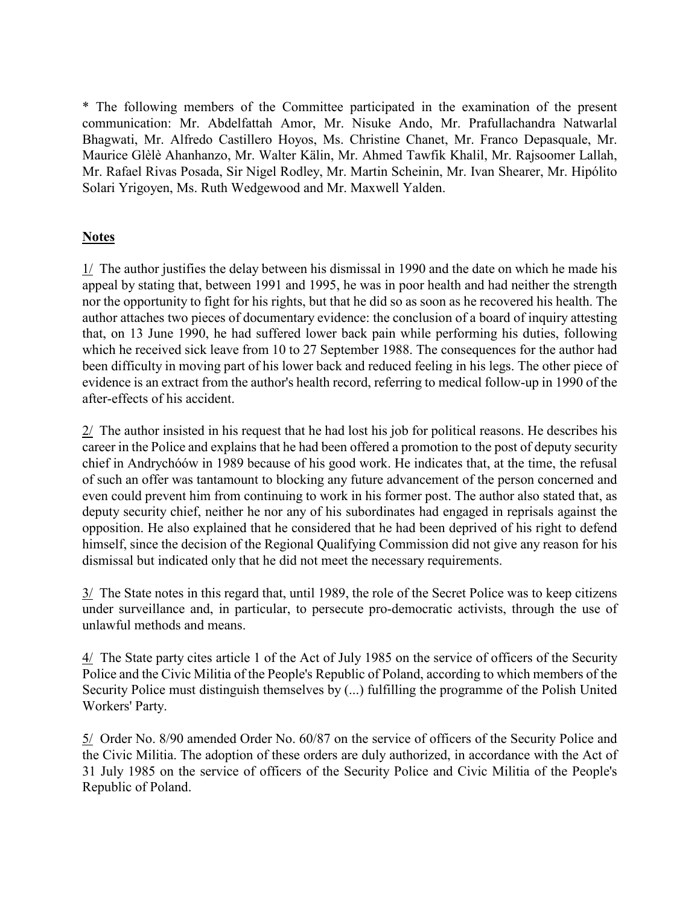\* The following members of the Committee participated in the examination of the present communication: Mr. Abdelfattah Amor, Mr. Nisuke Ando, Mr. Prafullachandra Natwarlal Bhagwati, Mr. Alfredo Castillero Hoyos, Ms. Christine Chanet, Mr. Franco Depasquale, Mr. Maurice Glèlè Ahanhanzo, Mr. Walter Kälin, Mr. Ahmed Tawfik Khalil, Mr. Rajsoomer Lallah, Mr. Rafael Rivas Posada, Sir Nigel Rodley, Mr. Martin Scheinin, Mr. Ivan Shearer, Mr. Hipólito Solari Yrigoyen, Ms. Ruth Wedgewood and Mr. Maxwell Yalden.

## **Notes**

1/ The author justifies the delay between his dismissal in 1990 and the date on which he made his appeal by stating that, between 1991 and 1995, he was in poor health and had neither the strength nor the opportunity to fight for his rights, but that he did so as soon as he recovered his health. The author attaches two pieces of documentary evidence: the conclusion of a board of inquiry attesting that, on 13 June 1990, he had suffered lower back pain while performing his duties, following which he received sick leave from 10 to 27 September 1988. The consequences for the author had been difficulty in moving part of his lower back and reduced feeling in his legs. The other piece of evidence is an extract from the author's health record, referring to medical follow-up in 1990 of the after-effects of his accident.

2/ The author insisted in his request that he had lost his job for political reasons. He describes his career in the Police and explains that he had been offered a promotion to the post of deputy security chief in Andrychóów in 1989 because of his good work. He indicates that, at the time, the refusal of such an offer was tantamount to blocking any future advancement of the person concerned and even could prevent him from continuing to work in his former post. The author also stated that, as deputy security chief, neither he nor any of his subordinates had engaged in reprisals against the opposition. He also explained that he considered that he had been deprived of his right to defend himself, since the decision of the Regional Qualifying Commission did not give any reason for his dismissal but indicated only that he did not meet the necessary requirements.

3/ The State notes in this regard that, until 1989, the role of the Secret Police was to keep citizens under surveillance and, in particular, to persecute pro-democratic activists, through the use of unlawful methods and means.

4/ The State party cites article 1 of the Act of July 1985 on the service of officers of the Security Police and the Civic Militia of the People's Republic of Poland, according to which members of the Security Police must distinguish themselves by (...) fulfilling the programme of the Polish United Workers' Party.

5/ Order No. 8/90 amended Order No. 60/87 on the service of officers of the Security Police and the Civic Militia. The adoption of these orders are duly authorized, in accordance with the Act of 31 July 1985 on the service of officers of the Security Police and Civic Militia of the People's Republic of Poland.